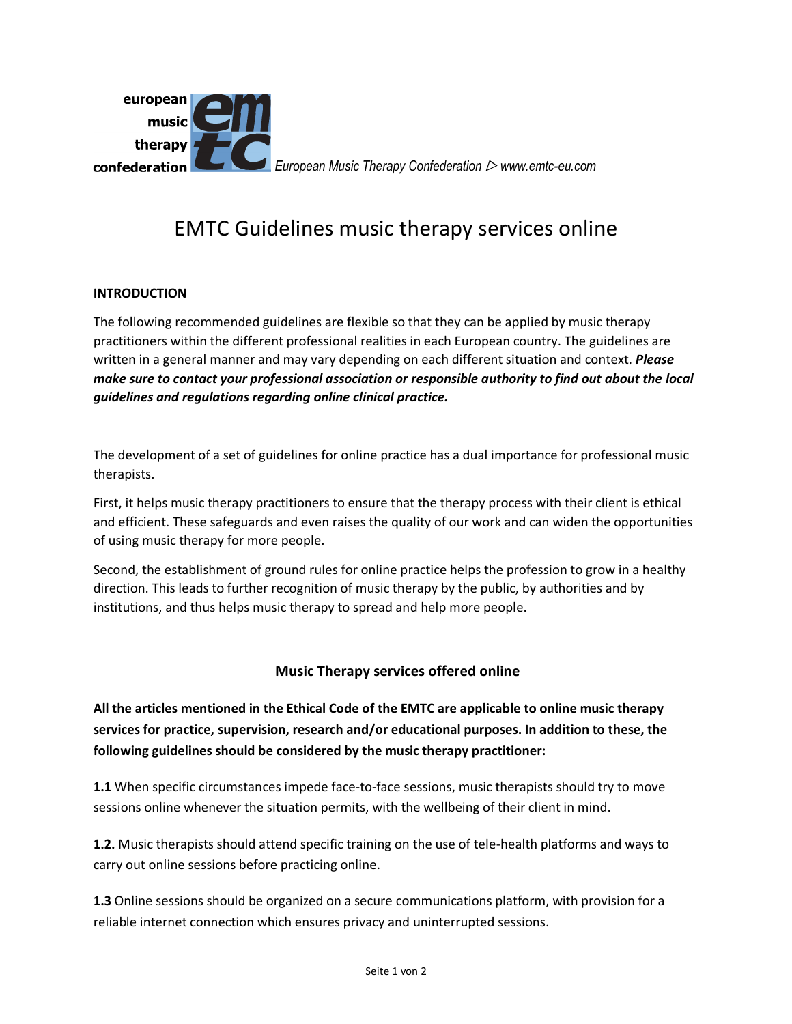

## EMTC Guidelines music therapy services online

## **INTRODUCTION**

The following recommended guidelines are flexible so that they can be applied by music therapy practitioners within the different professional realities in each European country. The guidelines are written in a general manner and may vary depending on each different situation and context. *Please make sure to contact your professional association or responsible authority to find out about the local guidelines and regulations regarding online clinical practice.* 

The development of a set of guidelines for online practice has a dual importance for professional music therapists.

First, it helps music therapy practitioners to ensure that the therapy process with their client is ethical and efficient. These safeguards and even raises the quality of our work and can widen the opportunities of using music therapy for more people.

Second, the establishment of ground rules for online practice helps the profession to grow in a healthy direction. This leads to further recognition of music therapy by the public, by authorities and by institutions, and thus helps music therapy to spread and help more people.

## **Music Therapy services offered online**

**All the articles mentioned in the Ethical Code of the EMTC are applicable to online music therapy services for practice, supervision, research and/or educational purposes. In addition to these, the following guidelines should be considered by the music therapy practitioner:**

**1.1** When specific circumstances impede face-to-face sessions, music therapists should try to move sessions online whenever the situation permits, with the wellbeing of their client in mind.

**1.2.** Music therapists should attend specific training on the use of tele-health platforms and ways to carry out online sessions before practicing online.

**1.3** Online sessions should be organized on a secure communications platform, with provision for a reliable internet connection which ensures privacy and uninterrupted sessions.